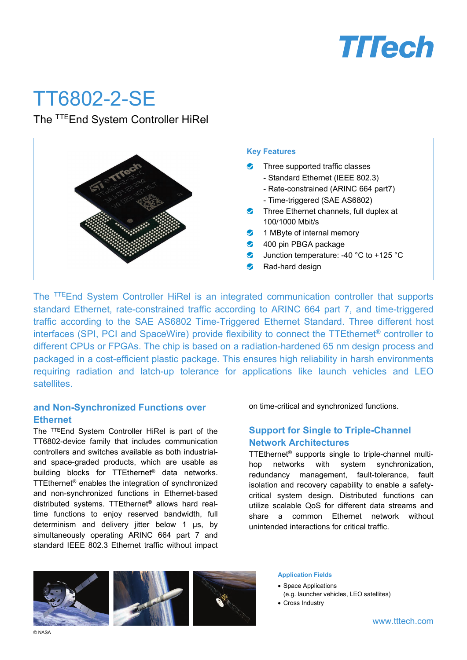

# TT6802-2-SE

The TTEEnd System Controller HiRel



The TTEEnd System Controller HiRel is an integrated communication controller that supports standard Ethernet, rate-constrained traffic according to ARINC 664 part 7, and time-triggered traffic according to the SAE AS6802 Time-Triggered Ethernet Standard. Three different host interfaces (SPI, PCI and SpaceWire) provide flexibility to connect the TTEthernet® controller to different CPUs or FPGAs. The chip is based on a radiation-hardened 65 nm design process and packaged in a cost-efficient plastic package. This ensures high reliability in harsh environments requiring radiation and latch-up tolerance for applications like launch vehicles and LEO satellites.

#### **and Non-Synchronized Functions over Ethernet**

The TTEEnd System Controller HiRel is part of the TT6802-device family that includes communication controllers and switches available as both industrialand space-graded products, which are usable as building blocks for TTEthernet® data networks. TTEthernet® enables the integration of synchronized and non-synchronized functions in Ethernet-based distributed systems. TTEthernet® allows hard realtime functions to enjoy reserved bandwidth, full determinism and delivery jitter below 1 µs, by simultaneously operating ARINC 664 part 7 and standard IEEE 802.3 Ethernet traffic without impact on time-critical and synchronized functions.

### **Support for Single to Triple-Channel Network Architectures**

TTEthernet® supports single to triple-channel multihop networks with system synchronization, redundancy management, fault-tolerance, fault isolation and recovery capability to enable a safetycritical system design. Distributed functions can utilize scalable QoS for different data streams and share a common Ethernet network without unintended interactions for critical traffic.



#### **Application Fields**

- Space Applications
- (e.g. launcher vehicles, LEO satellites)
- Cross Industry